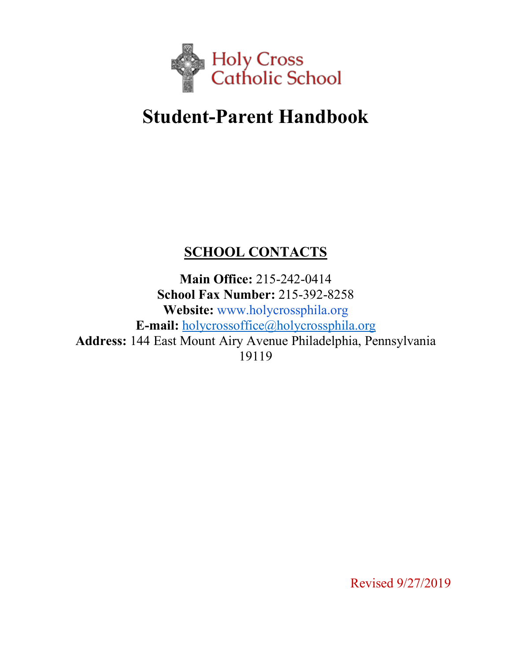

# **Student-Parent Handbook**

# **SCHOOL CONTACTS**

**Main Office:** 215-242-0414 **School Fax Number:** 215-392-8258 **Website:** www.holycrossphila.org **E-mail:** holycrossoffice@holycrossphila.org **Address:** 144 East Mount Airy Avenue Philadelphia, Pennsylvania 19119

Revised 9/27/2019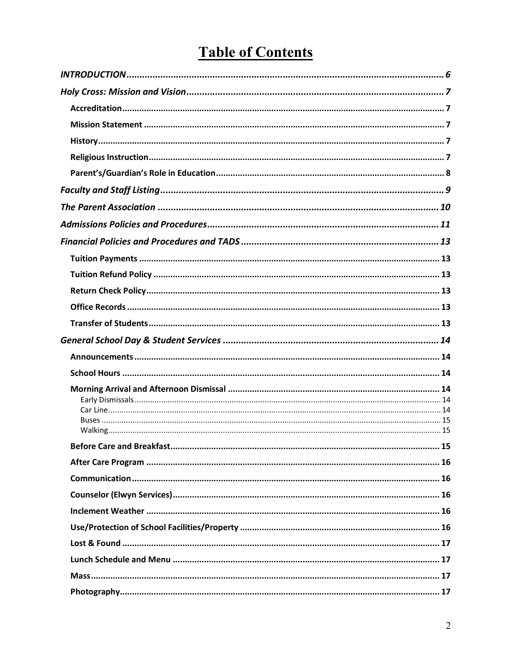# **Table of Contents**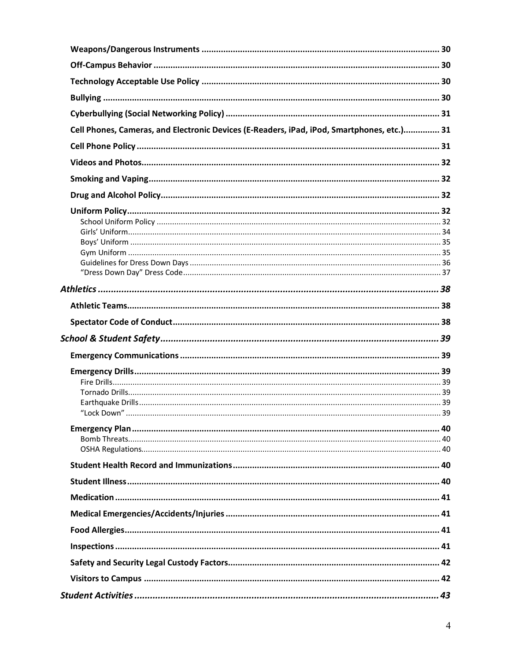| Cell Phones, Cameras, and Electronic Devices (E-Readers, iPad, iPod, Smartphones, etc.) 31 |  |
|--------------------------------------------------------------------------------------------|--|
|                                                                                            |  |
|                                                                                            |  |
|                                                                                            |  |
|                                                                                            |  |
|                                                                                            |  |
|                                                                                            |  |
|                                                                                            |  |
|                                                                                            |  |
|                                                                                            |  |
|                                                                                            |  |
|                                                                                            |  |
|                                                                                            |  |
|                                                                                            |  |
|                                                                                            |  |
|                                                                                            |  |
|                                                                                            |  |
|                                                                                            |  |
|                                                                                            |  |
|                                                                                            |  |
|                                                                                            |  |
|                                                                                            |  |
|                                                                                            |  |
|                                                                                            |  |
|                                                                                            |  |
|                                                                                            |  |
|                                                                                            |  |
|                                                                                            |  |
|                                                                                            |  |
|                                                                                            |  |
|                                                                                            |  |
|                                                                                            |  |
|                                                                                            |  |
|                                                                                            |  |
|                                                                                            |  |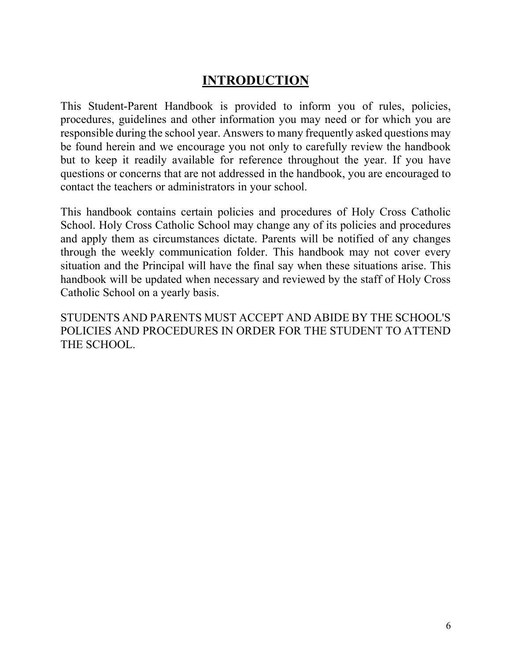# **INTRODUCTION**

This Student-Parent Handbook is provided to inform you of rules, policies, procedures, guidelines and other information you may need or for which you are responsible during the school year. Answers to many frequently asked questions may be found herein and we encourage you not only to carefully review the handbook but to keep it readily available for reference throughout the year. If you have questions or concerns that are not addressed in the handbook, you are encouraged to contact the teachers or administrators in your school.

This handbook contains certain policies and procedures of Holy Cross Catholic School. Holy Cross Catholic School may change any of its policies and procedures and apply them as circumstances dictate. Parents will be notified of any changes through the weekly communication folder. This handbook may not cover every situation and the Principal will have the final say when these situations arise. This handbook will be updated when necessary and reviewed by the staff of Holy Cross Catholic School on a yearly basis.

STUDENTS AND PARENTS MUST ACCEPT AND ABIDE BY THE SCHOOL'S POLICIES AND PROCEDURES IN ORDER FOR THE STUDENT TO ATTEND THE SCHOOL.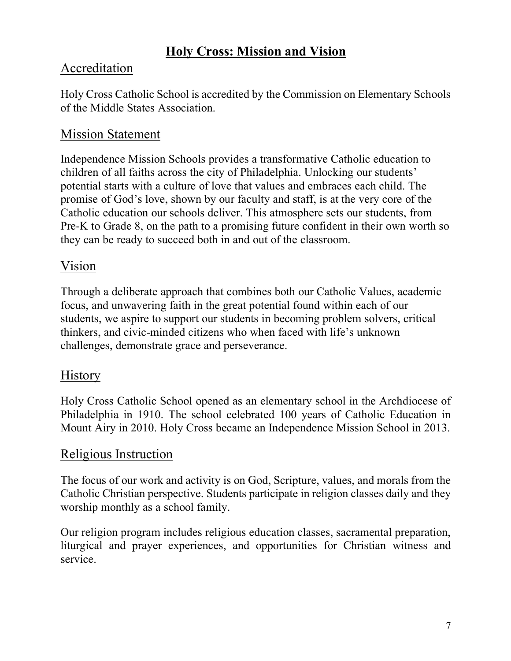# **Holy Cross: Mission and Vision**

# Accreditation

Holy Cross Catholic School is accredited by the Commission on Elementary Schools of the Middle States Association.

# Mission Statement

Independence Mission Schools provides a transformative Catholic education to children of all faiths across the city of Philadelphia. Unlocking our students' potential starts with a culture of love that values and embraces each child. The promise of God's love, shown by our faculty and staff, is at the very core of the Catholic education our schools deliver. This atmosphere sets our students, from Pre-K to Grade 8, on the path to a promising future confident in their own worth so they can be ready to succeed both in and out of the classroom.

# Vision

Through a deliberate approach that combines both our Catholic Values, academic focus, and unwavering faith in the great potential found within each of our students, we aspire to support our students in becoming problem solvers, critical thinkers, and civic-minded citizens who when faced with life's unknown challenges, demonstrate grace and perseverance.

# **History**

Holy Cross Catholic School opened as an elementary school in the Archdiocese of Philadelphia in 1910. The school celebrated 100 years of Catholic Education in Mount Airy in 2010. Holy Cross became an Independence Mission School in 2013.

# Religious Instruction

The focus of our work and activity is on God, Scripture, values, and morals from the Catholic Christian perspective. Students participate in religion classes daily and they worship monthly as a school family.

Our religion program includes religious education classes, sacramental preparation, liturgical and prayer experiences, and opportunities for Christian witness and service.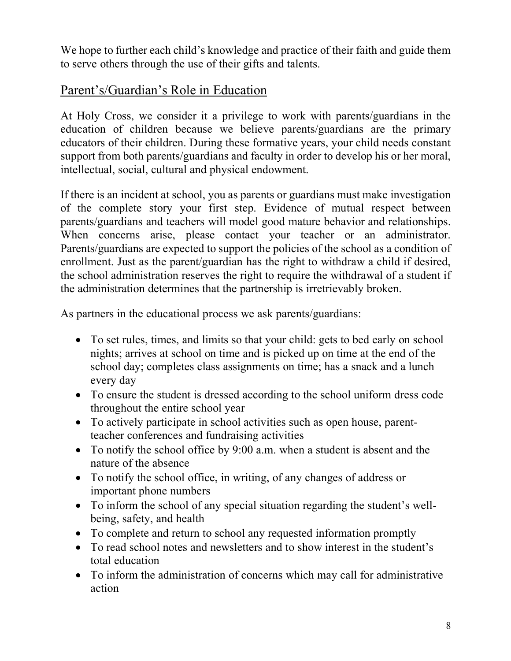We hope to further each child's knowledge and practice of their faith and guide them to serve others through the use of their gifts and talents.

### Parent's/Guardian's Role in Education

At Holy Cross, we consider it a privilege to work with parents/guardians in the education of children because we believe parents/guardians are the primary educators of their children. During these formative years, your child needs constant support from both parents/guardians and faculty in order to develop his or her moral, intellectual, social, cultural and physical endowment.

If there is an incident at school, you as parents or guardians must make investigation of the complete story your first step. Evidence of mutual respect between parents/guardians and teachers will model good mature behavior and relationships. When concerns arise, please contact your teacher or an administrator. Parents/guardians are expected to support the policies of the school as a condition of enrollment. Just as the parent/guardian has the right to withdraw a child if desired, the school administration reserves the right to require the withdrawal of a student if the administration determines that the partnership is irretrievably broken.

As partners in the educational process we ask parents/guardians:

- To set rules, times, and limits so that your child: gets to bed early on school nights; arrives at school on time and is picked up on time at the end of the school day; completes class assignments on time; has a snack and a lunch every day
- To ensure the student is dressed according to the school uniform dress code throughout the entire school year
- To actively participate in school activities such as open house, parentteacher conferences and fundraising activities
- To notify the school office by 9:00 a.m. when a student is absent and the nature of the absence
- To notify the school office, in writing, of any changes of address or important phone numbers
- To inform the school of any special situation regarding the student's wellbeing, safety, and health
- To complete and return to school any requested information promptly
- To read school notes and newsletters and to show interest in the student's total education
- To inform the administration of concerns which may call for administrative action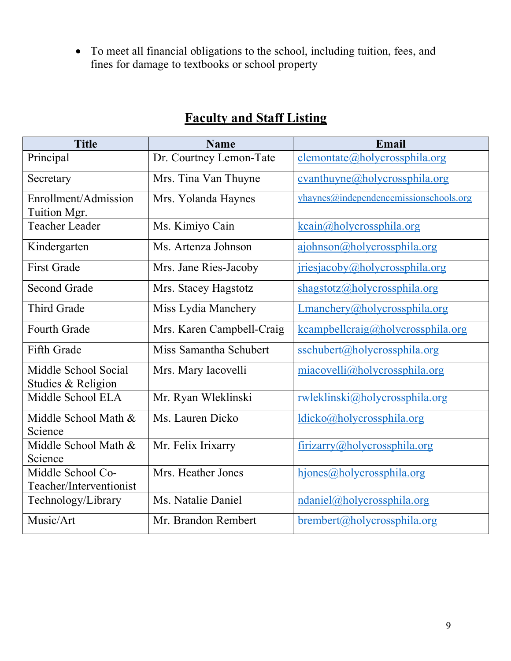• To meet all financial obligations to the school, including tuition, fees, and fines for damage to textbooks or school property

| <b>Title</b>                                 | <b>Name</b>               | Email                                  |
|----------------------------------------------|---------------------------|----------------------------------------|
| Principal                                    | Dr. Courtney Lemon-Tate   | $clemontate(a)$ holycrossphila.org     |
| Secretary                                    | Mrs. Tina Van Thuyne      | cvanthuyne@holycrossphila.org          |
| Enrollment/Admission<br>Tuition Mgr.         | Mrs. Yolanda Haynes       | yhaynes@independencemissionschools.org |
| <b>Teacher Leader</b>                        | Ms. Kimiyo Cain           | kcain@holycrossphila.org               |
| Kindergarten                                 | Ms. Artenza Johnson       | ajohnson@holycrossphila.org            |
| <b>First Grade</b>                           | Mrs. Jane Ries-Jacoby     | jriesjacoby@holycrossphila.org         |
| <b>Second Grade</b>                          | Mrs. Stacey Hagstotz      | shagstotz@holycrossphila.org           |
| <b>Third Grade</b>                           | Miss Lydia Manchery       | Lmanchery@holycrossphila.org           |
| <b>Fourth Grade</b>                          | Mrs. Karen Campbell-Craig | kcampbellcraig@holycrossphila.org      |
| <b>Fifth Grade</b>                           | Miss Samantha Schubert    | sschubert@holycrossphila.org           |
| Middle School Social<br>Studies & Religion   | Mrs. Mary Iacovelli       | miacovelli@holycrossphila.org          |
| Middle School ELA                            | Mr. Ryan Wleklinski       | rwleklinski@holycrossphila.org         |
| Middle School Math &<br>Science              | Ms. Lauren Dicko          | ldicko@holycrossphila.org              |
| Middle School Math &<br>Science              | Mr. Felix Irixarry        | firizarry@holycrossphila.org           |
| Middle School Co-<br>Teacher/Interventionist | Mrs. Heather Jones        | hjones@holycrossphila.org              |
| Technology/Library                           | Ms. Natalie Daniel        | ndaniel@holycrossphila.org             |
| Music/Art                                    | Mr. Brandon Rembert       | brembert@holycrossphila.org            |

# **Faculty and Staff Listing**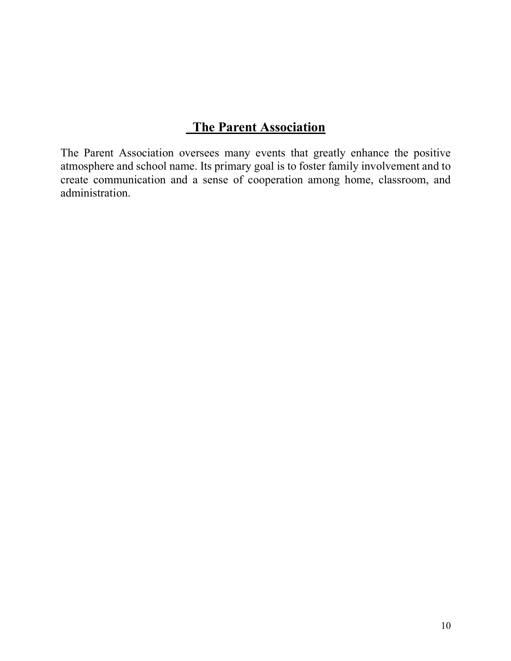# **The Parent Association**

The Parent Association oversees many events that greatly enhance the positive atmosphere and school name. Its primary goal is to foster family involvement and to create communication and a sense of cooperation among home, classroom, and administration.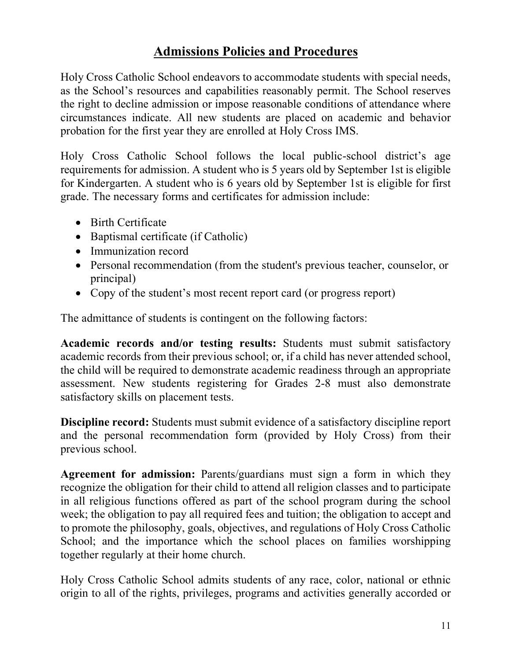# **Admissions Policies and Procedures**

Holy Cross Catholic School endeavors to accommodate students with special needs, as the School's resources and capabilities reasonably permit. The School reserves the right to decline admission or impose reasonable conditions of attendance where circumstances indicate. All new students are placed on academic and behavior probation for the first year they are enrolled at Holy Cross IMS.

Holy Cross Catholic School follows the local public-school district's age requirements for admission. A student who is 5 years old by September 1st is eligible for Kindergarten. A student who is 6 years old by September 1st is eligible for first grade. The necessary forms and certificates for admission include:

- Birth Certificate
- Baptismal certificate (if Catholic)
- Immunization record
- Personal recommendation (from the student's previous teacher, counselor, or principal)
- Copy of the student's most recent report card (or progress report)

The admittance of students is contingent on the following factors:

**Academic records and/or testing results:** Students must submit satisfactory academic records from their previous school; or, if a child has never attended school, the child will be required to demonstrate academic readiness through an appropriate assessment. New students registering for Grades 2-8 must also demonstrate satisfactory skills on placement tests.

**Discipline record:** Students must submit evidence of a satisfactory discipline report and the personal recommendation form (provided by Holy Cross) from their previous school.

**Agreement for admission:** Parents/guardians must sign a form in which they recognize the obligation for their child to attend all religion classes and to participate in all religious functions offered as part of the school program during the school week; the obligation to pay all required fees and tuition; the obligation to accept and to promote the philosophy, goals, objectives, and regulations of Holy Cross Catholic School; and the importance which the school places on families worshipping together regularly at their home church.

Holy Cross Catholic School admits students of any race, color, national or ethnic origin to all of the rights, privileges, programs and activities generally accorded or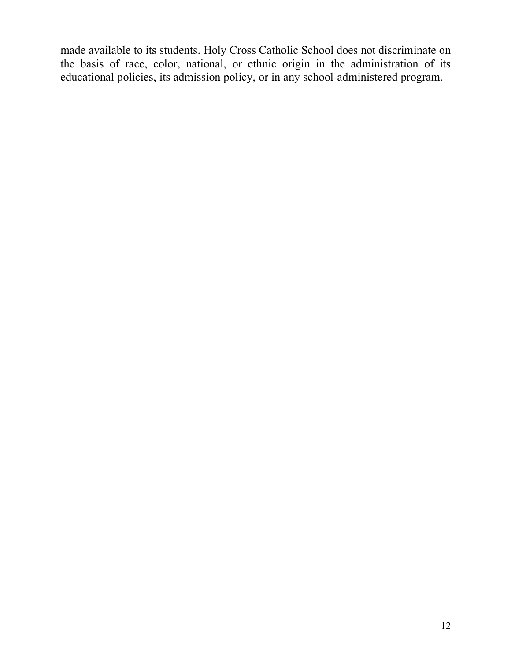made available to its students. Holy Cross Catholic School does not discriminate on the basis of race, color, national, or ethnic origin in the administration of its educational policies, its admission policy, or in any school-administered program.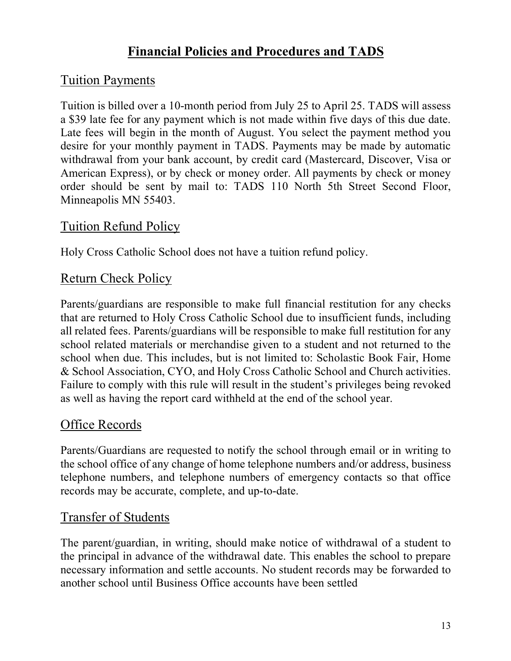# **Financial Policies and Procedures and TADS**

# Tuition Payments

Tuition is billed over a 10-month period from July 25 to April 25. TADS will assess a \$39 late fee for any payment which is not made within five days of this due date. Late fees will begin in the month of August. You select the payment method you desire for your monthly payment in TADS. Payments may be made by automatic withdrawal from your bank account, by credit card (Mastercard, Discover, Visa or American Express), or by check or money order. All payments by check or money order should be sent by mail to: TADS 110 North 5th Street Second Floor, Minneapolis MN 55403.

# Tuition Refund Policy

Holy Cross Catholic School does not have a tuition refund policy.

# Return Check Policy

Parents/guardians are responsible to make full financial restitution for any checks that are returned to Holy Cross Catholic School due to insufficient funds, including all related fees. Parents/guardians will be responsible to make full restitution for any school related materials or merchandise given to a student and not returned to the school when due. This includes, but is not limited to: Scholastic Book Fair, Home & School Association, CYO, and Holy Cross Catholic School and Church activities. Failure to comply with this rule will result in the student's privileges being revoked as well as having the report card withheld at the end of the school year.

# Office Records

Parents/Guardians are requested to notify the school through email or in writing to the school office of any change of home telephone numbers and/or address, business telephone numbers, and telephone numbers of emergency contacts so that office records may be accurate, complete, and up-to-date.

# Transfer of Students

The parent/guardian, in writing, should make notice of withdrawal of a student to the principal in advance of the withdrawal date. This enables the school to prepare necessary information and settle accounts. No student records may be forwarded to another school until Business Office accounts have been settled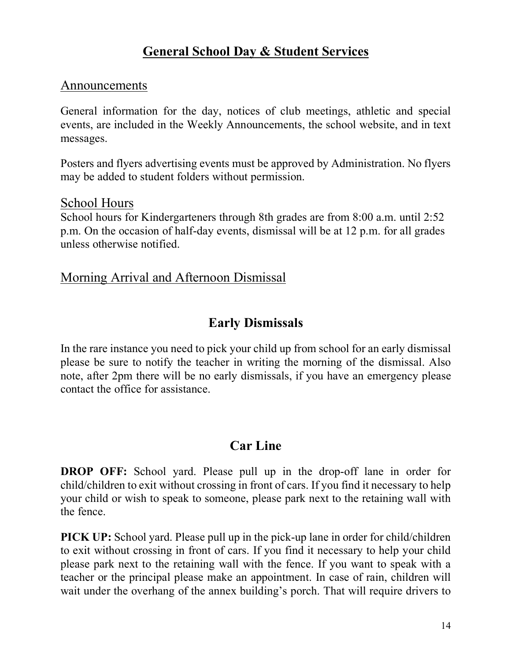# **General School Day & Student Services**

#### Announcements

General information for the day, notices of club meetings, athletic and special events, are included in the Weekly Announcements, the school website, and in text messages.

Posters and flyers advertising events must be approved by Administration. No flyers may be added to student folders without permission.

#### School Hours

School hours for Kindergarteners through 8th grades are from 8:00 a.m. until 2:52 p.m. On the occasion of half-day events, dismissal will be at 12 p.m. for all grades unless otherwise notified.

#### Morning Arrival and Afternoon Dismissal

#### **Early Dismissals**

In the rare instance you need to pick your child up from school for an early dismissal please be sure to notify the teacher in writing the morning of the dismissal. Also note, after 2pm there will be no early dismissals, if you have an emergency please contact the office for assistance.

### **Car Line**

**DROP OFF:** School yard. Please pull up in the drop-off lane in order for child/children to exit without crossing in front of cars. If you find it necessary to help your child or wish to speak to someone, please park next to the retaining wall with the fence.

**PICK UP:** School yard. Please pull up in the pick-up lane in order for child/children to exit without crossing in front of cars. If you find it necessary to help your child please park next to the retaining wall with the fence. If you want to speak with a teacher or the principal please make an appointment. In case of rain, children will wait under the overhang of the annex building's porch. That will require drivers to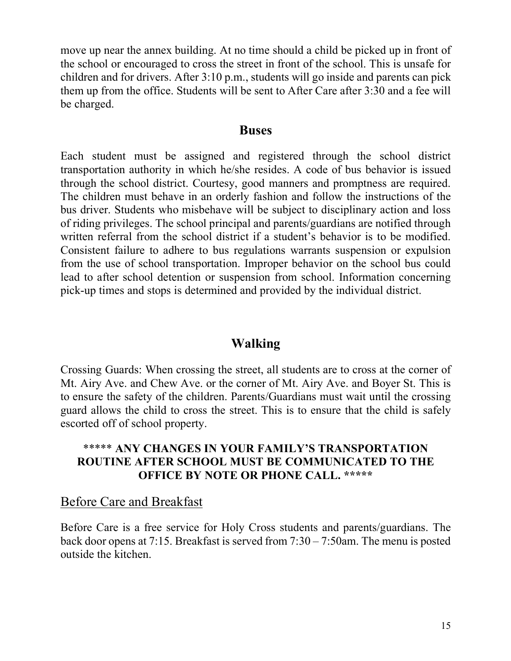move up near the annex building. At no time should a child be picked up in front of the school or encouraged to cross the street in front of the school. This is unsafe for children and for drivers. After 3:10 p.m., students will go inside and parents can pick them up from the office. Students will be sent to After Care after 3:30 and a fee will be charged.

#### **Buses**

Each student must be assigned and registered through the school district transportation authority in which he/she resides. A code of bus behavior is issued through the school district. Courtesy, good manners and promptness are required. The children must behave in an orderly fashion and follow the instructions of the bus driver. Students who misbehave will be subject to disciplinary action and loss of riding privileges. The school principal and parents/guardians are notified through written referral from the school district if a student's behavior is to be modified. Consistent failure to adhere to bus regulations warrants suspension or expulsion from the use of school transportation. Improper behavior on the school bus could lead to after school detention or suspension from school. Information concerning pick-up times and stops is determined and provided by the individual district.

# **Walking**

Crossing Guards: When crossing the street, all students are to cross at the corner of Mt. Airy Ave. and Chew Ave. or the corner of Mt. Airy Ave. and Boyer St. This is to ensure the safety of the children. Parents/Guardians must wait until the crossing guard allows the child to cross the street. This is to ensure that the child is safely escorted off of school property.

#### \*\*\*\*\* **ANY CHANGES IN YOUR FAMILY'S TRANSPORTATION ROUTINE AFTER SCHOOL MUST BE COMMUNICATED TO THE OFFICE BY NOTE OR PHONE CALL. \*\*\*\*\***

### Before Care and Breakfast

Before Care is a free service for Holy Cross students and parents/guardians. The back door opens at 7:15. Breakfast is served from 7:30 – 7:50am. The menu is posted outside the kitchen.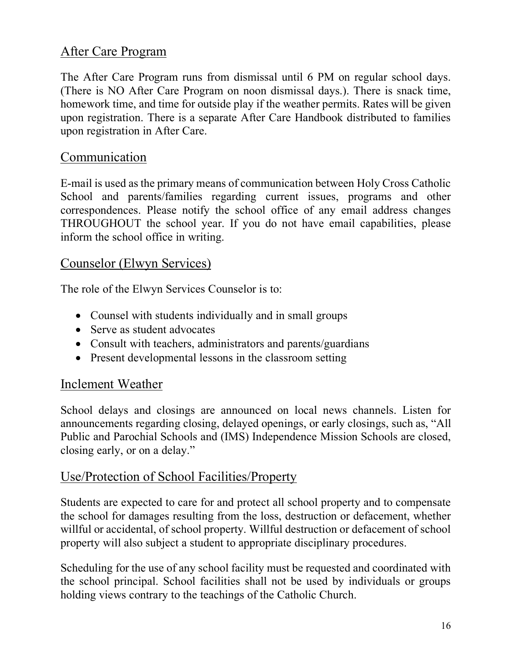# After Care Program

The After Care Program runs from dismissal until 6 PM on regular school days. (There is NO After Care Program on noon dismissal days.). There is snack time, homework time, and time for outside play if the weather permits. Rates will be given upon registration. There is a separate After Care Handbook distributed to families upon registration in After Care.

#### Communication

E-mail is used as the primary means of communication between Holy Cross Catholic School and parents/families regarding current issues, programs and other correspondences. Please notify the school office of any email address changes THROUGHOUT the school year. If you do not have email capabilities, please inform the school office in writing.

### Counselor (Elwyn Services)

The role of the Elwyn Services Counselor is to:

- Counsel with students individually and in small groups
- Serve as student advocates
- Consult with teachers, administrators and parents/guardians
- Present developmental lessons in the classroom setting

#### Inclement Weather

School delays and closings are announced on local news channels. Listen for announcements regarding closing, delayed openings, or early closings, such as, "All Public and Parochial Schools and (IMS) Independence Mission Schools are closed, closing early, or on a delay."

#### Use/Protection of School Facilities/Property

Students are expected to care for and protect all school property and to compensate the school for damages resulting from the loss, destruction or defacement, whether willful or accidental, of school property. Willful destruction or defacement of school property will also subject a student to appropriate disciplinary procedures.

Scheduling for the use of any school facility must be requested and coordinated with the school principal. School facilities shall not be used by individuals or groups holding views contrary to the teachings of the Catholic Church.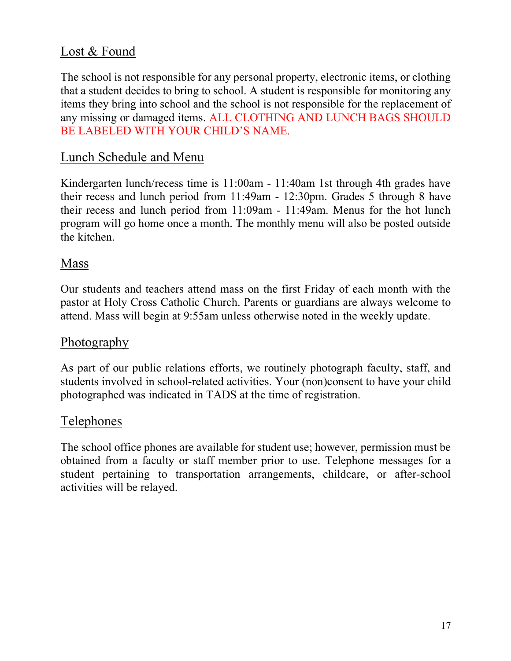# Lost & Found

The school is not responsible for any personal property, electronic items, or clothing that a student decides to bring to school. A student is responsible for monitoring any items they bring into school and the school is not responsible for the replacement of any missing or damaged items. ALL CLOTHING AND LUNCH BAGS SHOULD BE LABELED WITH YOUR CHILD'S NAME.

### Lunch Schedule and Menu

Kindergarten lunch/recess time is 11:00am - 11:40am 1st through 4th grades have their recess and lunch period from 11:49am - 12:30pm. Grades 5 through 8 have their recess and lunch period from 11:09am - 11:49am. Menus for the hot lunch program will go home once a month. The monthly menu will also be posted outside the kitchen.

#### Mass

Our students and teachers attend mass on the first Friday of each month with the pastor at Holy Cross Catholic Church. Parents or guardians are always welcome to attend. Mass will begin at 9:55am unless otherwise noted in the weekly update.

#### Photography

As part of our public relations efforts, we routinely photograph faculty, staff, and students involved in school-related activities. Your (non)consent to have your child photographed was indicated in TADS at the time of registration.

### Telephones

The school office phones are available for student use; however, permission must be obtained from a faculty or staff member prior to use. Telephone messages for a student pertaining to transportation arrangements, childcare, or after-school activities will be relayed.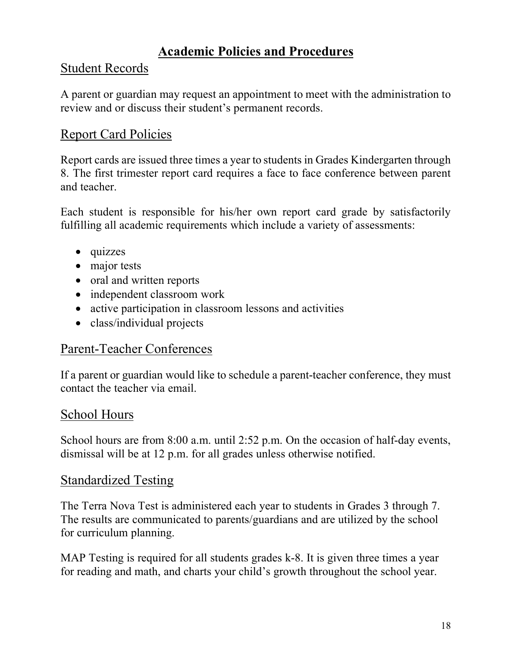# **Academic Policies and Procedures**

## Student Records

A parent or guardian may request an appointment to meet with the administration to review and or discuss their student's permanent records.

# Report Card Policies

Report cards are issued three times a year to students in Grades Kindergarten through 8. The first trimester report card requires a face to face conference between parent and teacher.

Each student is responsible for his/her own report card grade by satisfactorily fulfilling all academic requirements which include a variety of assessments:

- quizzes
- major tests
- oral and written reports
- independent classroom work
- active participation in classroom lessons and activities
- class/individual projects

### Parent-Teacher Conferences

If a parent or guardian would like to schedule a parent-teacher conference, they must contact the teacher via email.

#### School Hours

School hours are from 8:00 a.m. until 2:52 p.m. On the occasion of half-day events, dismissal will be at 12 p.m. for all grades unless otherwise notified.

#### Standardized Testing

The Terra Nova Test is administered each year to students in Grades 3 through 7. The results are communicated to parents/guardians and are utilized by the school for curriculum planning.

MAP Testing is required for all students grades k-8. It is given three times a year for reading and math, and charts your child's growth throughout the school year.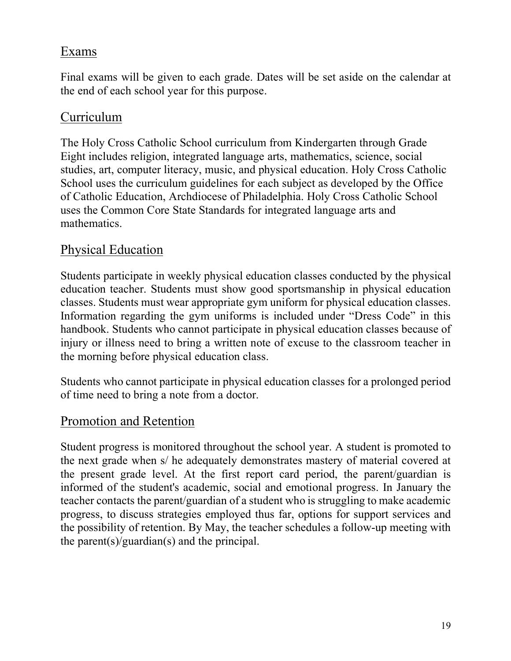### Exams

Final exams will be given to each grade. Dates will be set aside on the calendar at the end of each school year for this purpose.

#### Curriculum

The Holy Cross Catholic School curriculum from Kindergarten through Grade Eight includes religion, integrated language arts, mathematics, science, social studies, art, computer literacy, music, and physical education. Holy Cross Catholic School uses the curriculum guidelines for each subject as developed by the Office of Catholic Education, Archdiocese of Philadelphia. Holy Cross Catholic School uses the Common Core State Standards for integrated language arts and mathematics.

#### Physical Education

Students participate in weekly physical education classes conducted by the physical education teacher. Students must show good sportsmanship in physical education classes. Students must wear appropriate gym uniform for physical education classes. Information regarding the gym uniforms is included under "Dress Code" in this handbook. Students who cannot participate in physical education classes because of injury or illness need to bring a written note of excuse to the classroom teacher in the morning before physical education class.

Students who cannot participate in physical education classes for a prolonged period of time need to bring a note from a doctor.

#### Promotion and Retention

Student progress is monitored throughout the school year. A student is promoted to the next grade when s/ he adequately demonstrates mastery of material covered at the present grade level. At the first report card period, the parent/guardian is informed of the student's academic, social and emotional progress. In January the teacher contacts the parent/guardian of a student who is struggling to make academic progress, to discuss strategies employed thus far, options for support services and the possibility of retention. By May, the teacher schedules a follow-up meeting with the parent(s)/guardian(s) and the principal.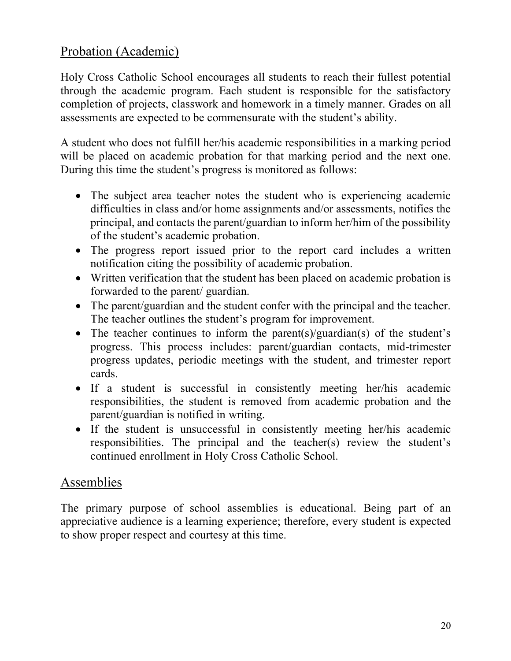# Probation (Academic)

Holy Cross Catholic School encourages all students to reach their fullest potential through the academic program. Each student is responsible for the satisfactory completion of projects, classwork and homework in a timely manner. Grades on all assessments are expected to be commensurate with the student's ability.

A student who does not fulfill her/his academic responsibilities in a marking period will be placed on academic probation for that marking period and the next one. During this time the student's progress is monitored as follows:

- The subject area teacher notes the student who is experiencing academic difficulties in class and/or home assignments and/or assessments, notifies the principal, and contacts the parent/guardian to inform her/him of the possibility of the student's academic probation.
- The progress report issued prior to the report card includes a written notification citing the possibility of academic probation.
- Written verification that the student has been placed on academic probation is forwarded to the parent/ guardian.
- The parent/guardian and the student confer with the principal and the teacher. The teacher outlines the student's program for improvement.
- The teacher continues to inform the parent(s)/guardian(s) of the student's progress. This process includes: parent/guardian contacts, mid-trimester progress updates, periodic meetings with the student, and trimester report cards.
- If a student is successful in consistently meeting her/his academic responsibilities, the student is removed from academic probation and the parent/guardian is notified in writing.
- If the student is unsuccessful in consistently meeting her/his academic responsibilities. The principal and the teacher(s) review the student's continued enrollment in Holy Cross Catholic School.

### Assemblies

The primary purpose of school assemblies is educational. Being part of an appreciative audience is a learning experience; therefore, every student is expected to show proper respect and courtesy at this time.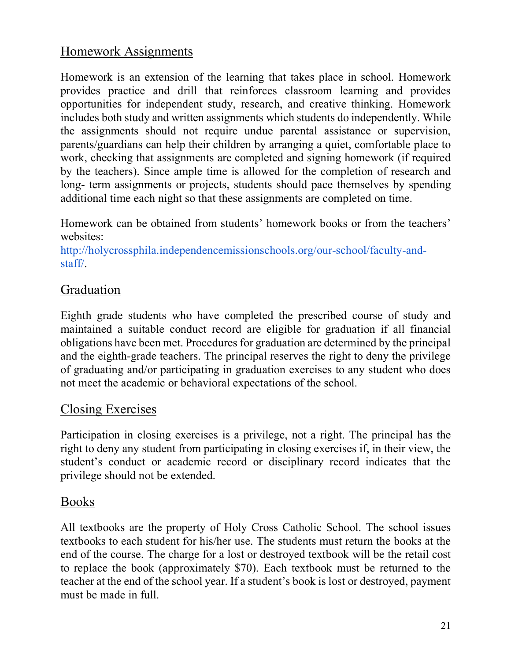# Homework Assignments

Homework is an extension of the learning that takes place in school. Homework provides practice and drill that reinforces classroom learning and provides opportunities for independent study, research, and creative thinking. Homework includes both study and written assignments which students do independently. While the assignments should not require undue parental assistance or supervision, parents/guardians can help their children by arranging a quiet, comfortable place to work, checking that assignments are completed and signing homework (if required by the teachers). Since ample time is allowed for the completion of research and long- term assignments or projects, students should pace themselves by spending additional time each night so that these assignments are completed on time.

Homework can be obtained from students' homework books or from the teachers' websites:

http://holycrossphila.independencemissionschools.org/our-school/faculty-andstaff/.

#### Graduation

Eighth grade students who have completed the prescribed course of study and maintained a suitable conduct record are eligible for graduation if all financial obligations have been met. Procedures for graduation are determined by the principal and the eighth-grade teachers. The principal reserves the right to deny the privilege of graduating and/or participating in graduation exercises to any student who does not meet the academic or behavioral expectations of the school.

#### Closing Exercises

Participation in closing exercises is a privilege, not a right. The principal has the right to deny any student from participating in closing exercises if, in their view, the student's conduct or academic record or disciplinary record indicates that the privilege should not be extended.

#### Books

All textbooks are the property of Holy Cross Catholic School. The school issues textbooks to each student for his/her use. The students must return the books at the end of the course. The charge for a lost or destroyed textbook will be the retail cost to replace the book (approximately \$70). Each textbook must be returned to the teacher at the end of the school year. If a student's book is lost or destroyed, payment must be made in full.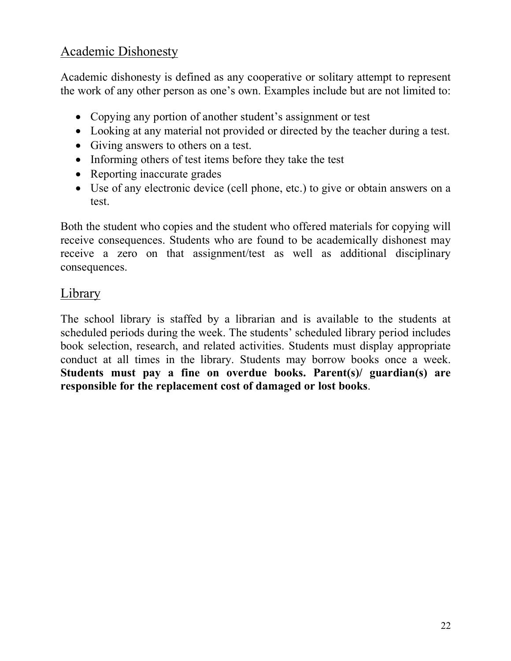### Academic Dishonesty

Academic dishonesty is defined as any cooperative or solitary attempt to represent the work of any other person as one's own. Examples include but are not limited to:

- Copying any portion of another student's assignment or test
- Looking at any material not provided or directed by the teacher during a test.
- Giving answers to others on a test.
- Informing others of test items before they take the test
- Reporting inaccurate grades
- Use of any electronic device (cell phone, etc.) to give or obtain answers on a test.

Both the student who copies and the student who offered materials for copying will receive consequences. Students who are found to be academically dishonest may receive a zero on that assignment/test as well as additional disciplinary consequences.

#### **Library**

The school library is staffed by a librarian and is available to the students at scheduled periods during the week. The students' scheduled library period includes book selection, research, and related activities. Students must display appropriate conduct at all times in the library. Students may borrow books once a week. **Students must pay a fine on overdue books. Parent(s)/ guardian(s) are responsible for the replacement cost of damaged or lost books**.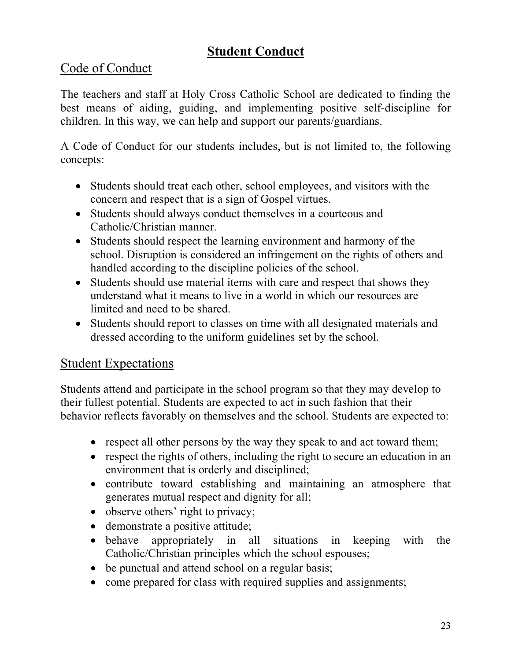# **Student Conduct**

# Code of Conduct

The teachers and staff at Holy Cross Catholic School are dedicated to finding the best means of aiding, guiding, and implementing positive self-discipline for children. In this way, we can help and support our parents/guardians.

A Code of Conduct for our students includes, but is not limited to, the following concepts:

- Students should treat each other, school employees, and visitors with the concern and respect that is a sign of Gospel virtues.
- Students should always conduct themselves in a courteous and Catholic/Christian manner.
- Students should respect the learning environment and harmony of the school. Disruption is considered an infringement on the rights of others and handled according to the discipline policies of the school.
- Students should use material items with care and respect that shows they understand what it means to live in a world in which our resources are limited and need to be shared.
- Students should report to classes on time with all designated materials and dressed according to the uniform guidelines set by the school.

# Student Expectations

Students attend and participate in the school program so that they may develop to their fullest potential. Students are expected to act in such fashion that their behavior reflects favorably on themselves and the school. Students are expected to:

- respect all other persons by the way they speak to and act toward them;
- respect the rights of others, including the right to secure an education in an environment that is orderly and disciplined;
- contribute toward establishing and maintaining an atmosphere that generates mutual respect and dignity for all;
- observe others' right to privacy;
- demonstrate a positive attitude;
- behave appropriately in all situations in keeping with the Catholic/Christian principles which the school espouses;
- be punctual and attend school on a regular basis;
- come prepared for class with required supplies and assignments;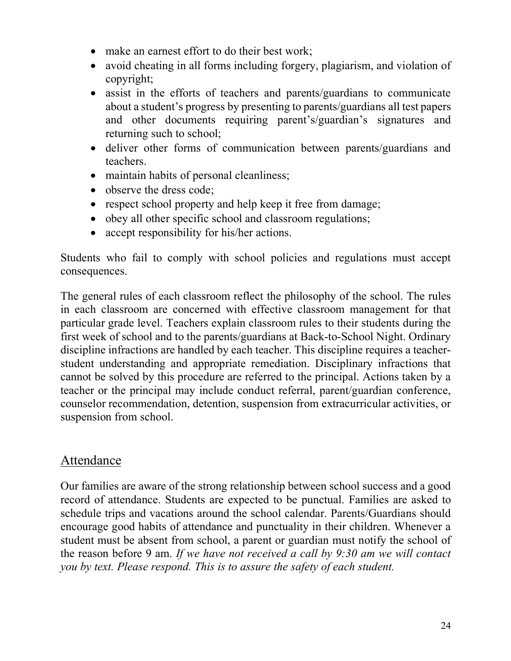- make an earnest effort to do their best work;
- avoid cheating in all forms including forgery, plagiarism, and violation of copyright;
- assist in the efforts of teachers and parents/guardians to communicate about a student's progress by presenting to parents/guardians all test papers and other documents requiring parent's/guardian's signatures and returning such to school;
- deliver other forms of communication between parents/guardians and teachers.
- maintain habits of personal cleanliness;
- observe the dress code;
- respect school property and help keep it free from damage;
- obey all other specific school and classroom regulations;
- accept responsibility for his/her actions.

Students who fail to comply with school policies and regulations must accept consequences.

The general rules of each classroom reflect the philosophy of the school. The rules in each classroom are concerned with effective classroom management for that particular grade level. Teachers explain classroom rules to their students during the first week of school and to the parents/guardians at Back-to-School Night. Ordinary discipline infractions are handled by each teacher. This discipline requires a teacherstudent understanding and appropriate remediation. Disciplinary infractions that cannot be solved by this procedure are referred to the principal. Actions taken by a teacher or the principal may include conduct referral, parent/guardian conference, counselor recommendation, detention, suspension from extracurricular activities, or suspension from school.

### Attendance

Our families are aware of the strong relationship between school success and a good record of attendance. Students are expected to be punctual. Families are asked to schedule trips and vacations around the school calendar. Parents/Guardians should encourage good habits of attendance and punctuality in their children. Whenever a student must be absent from school, a parent or guardian must notify the school of the reason before 9 am. *If we have not received a call by 9:30 am we will contact you by text. Please respond. This is to assure the safety of each student.*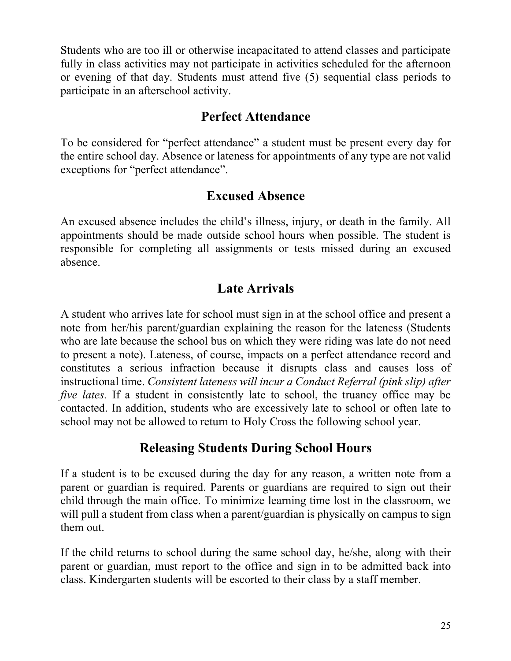Students who are too ill or otherwise incapacitated to attend classes and participate fully in class activities may not participate in activities scheduled for the afternoon or evening of that day. Students must attend five (5) sequential class periods to participate in an afterschool activity.

### **Perfect Attendance**

To be considered for "perfect attendance" a student must be present every day for the entire school day. Absence or lateness for appointments of any type are not valid exceptions for "perfect attendance".

## **Excused Absence**

An excused absence includes the child's illness, injury, or death in the family. All appointments should be made outside school hours when possible. The student is responsible for completing all assignments or tests missed during an excused absence.

# **Late Arrivals**

A student who arrives late for school must sign in at the school office and present a note from her/his parent/guardian explaining the reason for the lateness (Students who are late because the school bus on which they were riding was late do not need to present a note). Lateness, of course, impacts on a perfect attendance record and constitutes a serious infraction because it disrupts class and causes loss of instructional time. *Consistent lateness will incur a Conduct Referral (pink slip) after five lates.* If a student in consistently late to school, the truancy office may be contacted. In addition, students who are excessively late to school or often late to school may not be allowed to return to Holy Cross the following school year.

# **Releasing Students During School Hours**

If a student is to be excused during the day for any reason, a written note from a parent or guardian is required. Parents or guardians are required to sign out their child through the main office. To minimize learning time lost in the classroom, we will pull a student from class when a parent/guardian is physically on campus to sign them out.

If the child returns to school during the same school day, he/she, along with their parent or guardian, must report to the office and sign in to be admitted back into class. Kindergarten students will be escorted to their class by a staff member.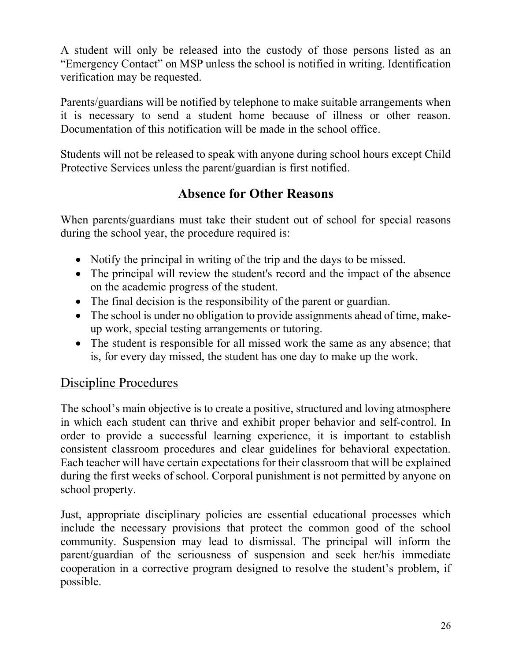A student will only be released into the custody of those persons listed as an "Emergency Contact" on MSP unless the school is notified in writing. Identification verification may be requested.

Parents/guardians will be notified by telephone to make suitable arrangements when it is necessary to send a student home because of illness or other reason. Documentation of this notification will be made in the school office.

Students will not be released to speak with anyone during school hours except Child Protective Services unless the parent/guardian is first notified.

# **Absence for Other Reasons**

When parents/guardians must take their student out of school for special reasons during the school year, the procedure required is:

- Notify the principal in writing of the trip and the days to be missed.
- The principal will review the student's record and the impact of the absence on the academic progress of the student.
- The final decision is the responsibility of the parent or guardian.
- The school is under no obligation to provide assignments ahead of time, makeup work, special testing arrangements or tutoring.
- The student is responsible for all missed work the same as any absence; that is, for every day missed, the student has one day to make up the work.

# Discipline Procedures

The school's main objective is to create a positive, structured and loving atmosphere in which each student can thrive and exhibit proper behavior and self-control. In order to provide a successful learning experience, it is important to establish consistent classroom procedures and clear guidelines for behavioral expectation. Each teacher will have certain expectations for their classroom that will be explained during the first weeks of school. Corporal punishment is not permitted by anyone on school property.

Just, appropriate disciplinary policies are essential educational processes which include the necessary provisions that protect the common good of the school community. Suspension may lead to dismissal. The principal will inform the parent/guardian of the seriousness of suspension and seek her/his immediate cooperation in a corrective program designed to resolve the student's problem, if possible.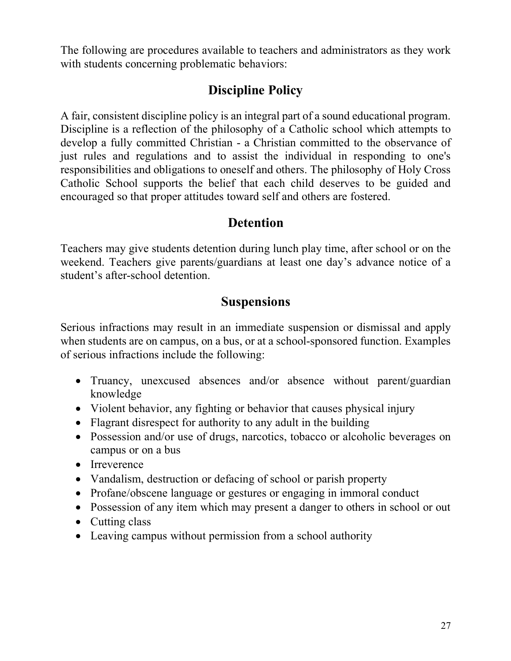The following are procedures available to teachers and administrators as they work with students concerning problematic behaviors:

# **Discipline Policy**

A fair, consistent discipline policy is an integral part of a sound educational program. Discipline is a reflection of the philosophy of a Catholic school which attempts to develop a fully committed Christian - a Christian committed to the observance of just rules and regulations and to assist the individual in responding to one's responsibilities and obligations to oneself and others. The philosophy of Holy Cross Catholic School supports the belief that each child deserves to be guided and encouraged so that proper attitudes toward self and others are fostered.

#### **Detention**

Teachers may give students detention during lunch play time, after school or on the weekend. Teachers give parents/guardians at least one day's advance notice of a student's after-school detention.

## **Suspensions**

Serious infractions may result in an immediate suspension or dismissal and apply when students are on campus, on a bus, or at a school-sponsored function. Examples of serious infractions include the following:

- Truancy, unexcused absences and/or absence without parent/guardian knowledge
- Violent behavior, any fighting or behavior that causes physical injury
- Flagrant disrespect for authority to any adult in the building
- Possession and/or use of drugs, narcotics, tobacco or alcoholic beverages on campus or on a bus
- Irreverence
- Vandalism, destruction or defacing of school or parish property
- Profane/obscene language or gestures or engaging in immoral conduct
- Possession of any item which may present a danger to others in school or out
- Cutting class
- Leaving campus without permission from a school authority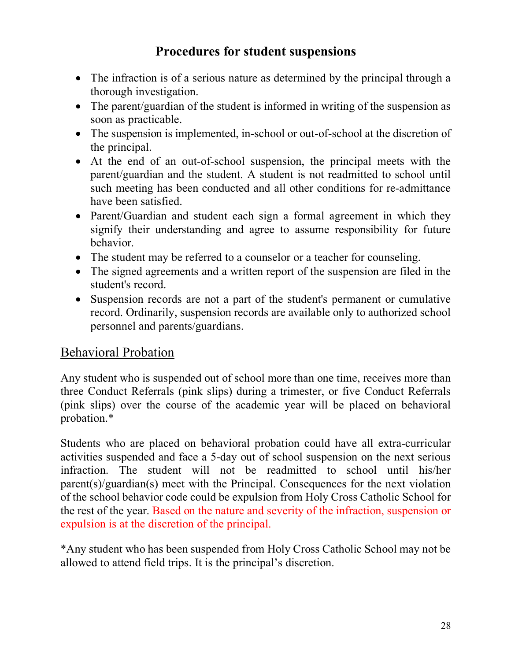# **Procedures for student suspensions**

- The infraction is of a serious nature as determined by the principal through a thorough investigation.
- The parent/guardian of the student is informed in writing of the suspension as soon as practicable.
- The suspension is implemented, in-school or out-of-school at the discretion of the principal.
- At the end of an out-of-school suspension, the principal meets with the parent/guardian and the student. A student is not readmitted to school until such meeting has been conducted and all other conditions for re-admittance have been satisfied.
- Parent/Guardian and student each sign a formal agreement in which they signify their understanding and agree to assume responsibility for future behavior.
- The student may be referred to a counselor or a teacher for counseling.
- The signed agreements and a written report of the suspension are filed in the student's record.
- Suspension records are not a part of the student's permanent or cumulative record. Ordinarily, suspension records are available only to authorized school personnel and parents/guardians.

### Behavioral Probation

Any student who is suspended out of school more than one time, receives more than three Conduct Referrals (pink slips) during a trimester, or five Conduct Referrals (pink slips) over the course of the academic year will be placed on behavioral probation.\*

Students who are placed on behavioral probation could have all extra-curricular activities suspended and face a 5-day out of school suspension on the next serious infraction. The student will not be readmitted to school until his/her parent(s)/guardian(s) meet with the Principal. Consequences for the next violation of the school behavior code could be expulsion from Holy Cross Catholic School for the rest of the year. Based on the nature and severity of the infraction, suspension or expulsion is at the discretion of the principal.

\*Any student who has been suspended from Holy Cross Catholic School may not be allowed to attend field trips. It is the principal's discretion.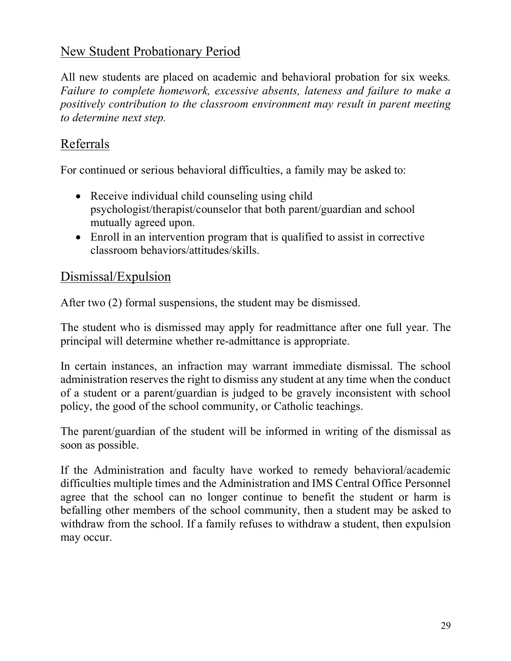## New Student Probationary Period

All new students are placed on academic and behavioral probation for six weeks*. Failure to complete homework, excessive absents, lateness and failure to make a positively contribution to the classroom environment may result in parent meeting to determine next step.* 

# Referrals

For continued or serious behavioral difficulties, a family may be asked to:

- Receive individual child counseling using child psychologist/therapist/counselor that both parent/guardian and school mutually agreed upon.
- Enroll in an intervention program that is qualified to assist in corrective classroom behaviors/attitudes/skills.

#### Dismissal/Expulsion

After two (2) formal suspensions, the student may be dismissed.

The student who is dismissed may apply for readmittance after one full year. The principal will determine whether re-admittance is appropriate.

In certain instances, an infraction may warrant immediate dismissal. The school administration reserves the right to dismiss any student at any time when the conduct of a student or a parent/guardian is judged to be gravely inconsistent with school policy, the good of the school community, or Catholic teachings.

The parent/guardian of the student will be informed in writing of the dismissal as soon as possible.

If the Administration and faculty have worked to remedy behavioral/academic difficulties multiple times and the Administration and IMS Central Office Personnel agree that the school can no longer continue to benefit the student or harm is befalling other members of the school community, then a student may be asked to withdraw from the school. If a family refuses to withdraw a student, then expulsion may occur.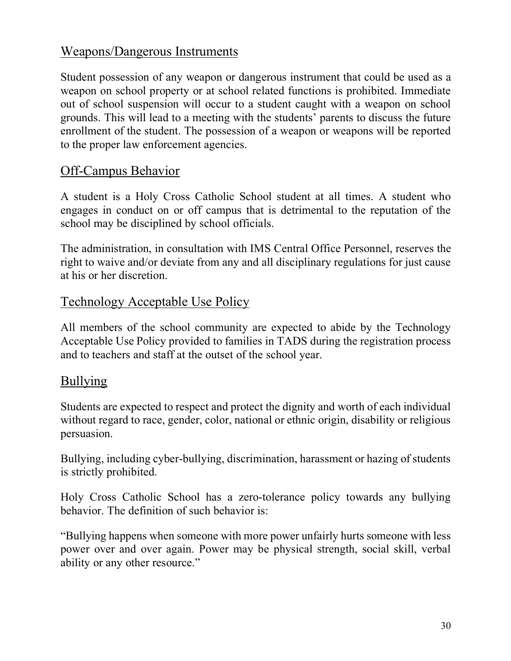### Weapons/Dangerous Instruments

Student possession of any weapon or dangerous instrument that could be used as a weapon on school property or at school related functions is prohibited. Immediate out of school suspension will occur to a student caught with a weapon on school grounds. This will lead to a meeting with the students' parents to discuss the future enrollment of the student. The possession of a weapon or weapons will be reported to the proper law enforcement agencies.

#### Off-Campus Behavior

A student is a Holy Cross Catholic School student at all times. A student who engages in conduct on or off campus that is detrimental to the reputation of the school may be disciplined by school officials.

The administration, in consultation with IMS Central Office Personnel, reserves the right to waive and/or deviate from any and all disciplinary regulations for just cause at his or her discretion.

#### Technology Acceptable Use Policy

All members of the school community are expected to abide by the Technology Acceptable Use Policy provided to families in TADS during the registration process and to teachers and staff at the outset of the school year.

### Bullying

Students are expected to respect and protect the dignity and worth of each individual without regard to race, gender, color, national or ethnic origin, disability or religious persuasion.

Bullying, including cyber-bullying, discrimination, harassment or hazing of students is strictly prohibited.

Holy Cross Catholic School has a zero-tolerance policy towards any bullying behavior. The definition of such behavior is:

"Bullying happens when someone with more power unfairly hurts someone with less power over and over again. Power may be physical strength, social skill, verbal ability or any other resource."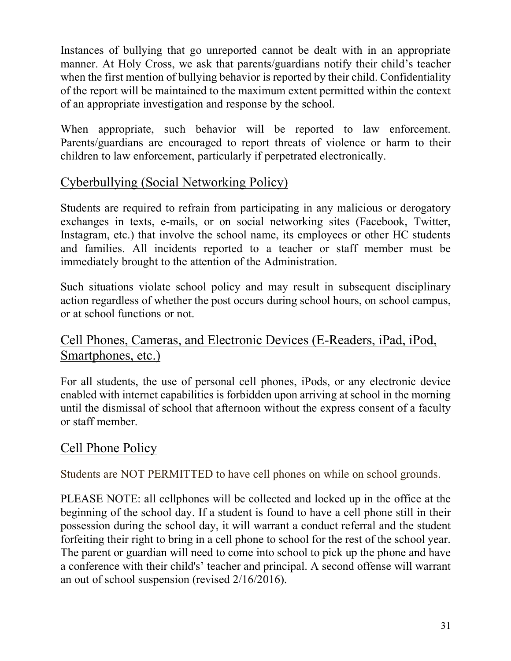Instances of bullying that go unreported cannot be dealt with in an appropriate manner. At Holy Cross, we ask that parents/guardians notify their child's teacher when the first mention of bullying behavior is reported by their child. Confidentiality of the report will be maintained to the maximum extent permitted within the context of an appropriate investigation and response by the school.

When appropriate, such behavior will be reported to law enforcement. Parents/guardians are encouraged to report threats of violence or harm to their children to law enforcement, particularly if perpetrated electronically.

## Cyberbullying (Social Networking Policy)

Students are required to refrain from participating in any malicious or derogatory exchanges in texts, e-mails, or on social networking sites (Facebook, Twitter, Instagram, etc.) that involve the school name, its employees or other HC students and families. All incidents reported to a teacher or staff member must be immediately brought to the attention of the Administration.

Such situations violate school policy and may result in subsequent disciplinary action regardless of whether the post occurs during school hours, on school campus, or at school functions or not.

## Cell Phones, Cameras, and Electronic Devices (E-Readers, iPad, iPod, Smartphones, etc.)

For all students, the use of personal cell phones, iPods, or any electronic device enabled with internet capabilities is forbidden upon arriving at school in the morning until the dismissal of school that afternoon without the express consent of a faculty or staff member.

# Cell Phone Policy

Students are NOT PERMITTED to have cell phones on while on school grounds.

PLEASE NOTE: all cellphones will be collected and locked up in the office at the beginning of the school day. If a student is found to have a cell phone still in their possession during the school day, it will warrant a conduct referral and the student forfeiting their right to bring in a cell phone to school for the rest of the school year. The parent or guardian will need to come into school to pick up the phone and have a conference with their child's' teacher and principal. A second offense will warrant an out of school suspension (revised 2/16/2016).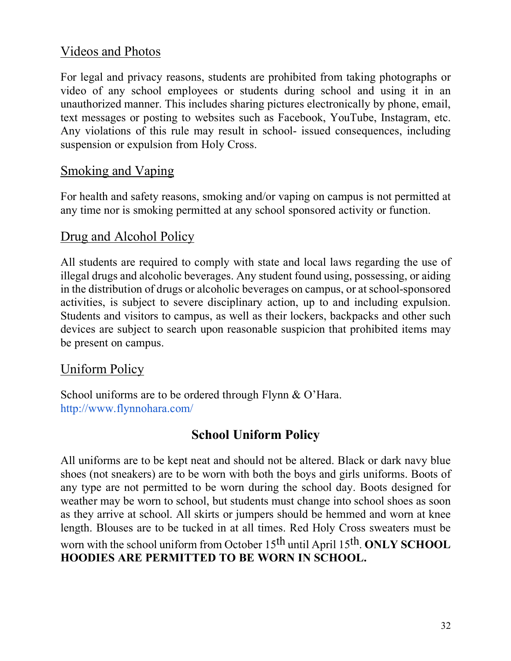### Videos and Photos

For legal and privacy reasons, students are prohibited from taking photographs or video of any school employees or students during school and using it in an unauthorized manner. This includes sharing pictures electronically by phone, email, text messages or posting to websites such as Facebook, YouTube, Instagram, etc. Any violations of this rule may result in school- issued consequences, including suspension or expulsion from Holy Cross.

#### Smoking and Vaping

For health and safety reasons, smoking and/or vaping on campus is not permitted at any time nor is smoking permitted at any school sponsored activity or function.

#### Drug and Alcohol Policy

All students are required to comply with state and local laws regarding the use of illegal drugs and alcoholic beverages. Any student found using, possessing, or aiding in the distribution of drugs or alcoholic beverages on campus, or at school-sponsored activities, is subject to severe disciplinary action, up to and including expulsion. Students and visitors to campus, as well as their lockers, backpacks and other such devices are subject to search upon reasonable suspicion that prohibited items may be present on campus.

#### Uniform Policy

School uniforms are to be ordered through Flynn & O'Hara. http://www.flynnohara.com/

# **School Uniform Policy**

All uniforms are to be kept neat and should not be altered. Black or dark navy blue shoes (not sneakers) are to be worn with both the boys and girls uniforms. Boots of any type are not permitted to be worn during the school day. Boots designed for weather may be worn to school, but students must change into school shoes as soon as they arrive at school. All skirts or jumpers should be hemmed and worn at knee length. Blouses are to be tucked in at all times. Red Holy Cross sweaters must be worn with the school uniform from October 15th until April 15th. **ONLY SCHOOL HOODIES ARE PERMITTED TO BE WORN IN SCHOOL.**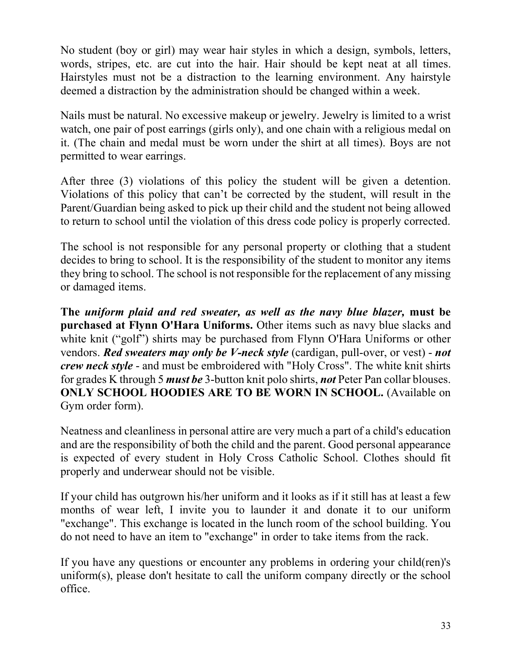No student (boy or girl) may wear hair styles in which a design, symbols, letters, words, stripes, etc. are cut into the hair. Hair should be kept neat at all times. Hairstyles must not be a distraction to the learning environment. Any hairstyle deemed a distraction by the administration should be changed within a week.

Nails must be natural. No excessive makeup or jewelry. Jewelry is limited to a wrist watch, one pair of post earrings (girls only), and one chain with a religious medal on it. (The chain and medal must be worn under the shirt at all times). Boys are not permitted to wear earrings.

After three (3) violations of this policy the student will be given a detention. Violations of this policy that can't be corrected by the student, will result in the Parent/Guardian being asked to pick up their child and the student not being allowed to return to school until the violation of this dress code policy is properly corrected.

The school is not responsible for any personal property or clothing that a student decides to bring to school. It is the responsibility of the student to monitor any items they bring to school. The school is not responsible for the replacement of any missing or damaged items.

**The** *uniform plaid and red sweater, as well as the navy blue blazer,* **must be purchased at Flynn O'Hara Uniforms.** Other items such as navy blue slacks and white knit ("golf") shirts may be purchased from Flynn O'Hara Uniforms or other vendors. *Red sweaters may only be V-neck style* (cardigan, pull-over, or vest) - *not crew neck style* - and must be embroidered with "Holy Cross". The white knit shirts for grades K through 5 *must be* 3-button knit polo shirts, *not* Peter Pan collar blouses. **ONLY SCHOOL HOODIES ARE TO BE WORN IN SCHOOL.** (Available on Gym order form).

Neatness and cleanliness in personal attire are very much a part of a child's education and are the responsibility of both the child and the parent. Good personal appearance is expected of every student in Holy Cross Catholic School. Clothes should fit properly and underwear should not be visible.

If your child has outgrown his/her uniform and it looks as if it still has at least a few months of wear left, I invite you to launder it and donate it to our uniform "exchange". This exchange is located in the lunch room of the school building. You do not need to have an item to "exchange" in order to take items from the rack.

If you have any questions or encounter any problems in ordering your child(ren)'s uniform(s), please don't hesitate to call the uniform company directly or the school office.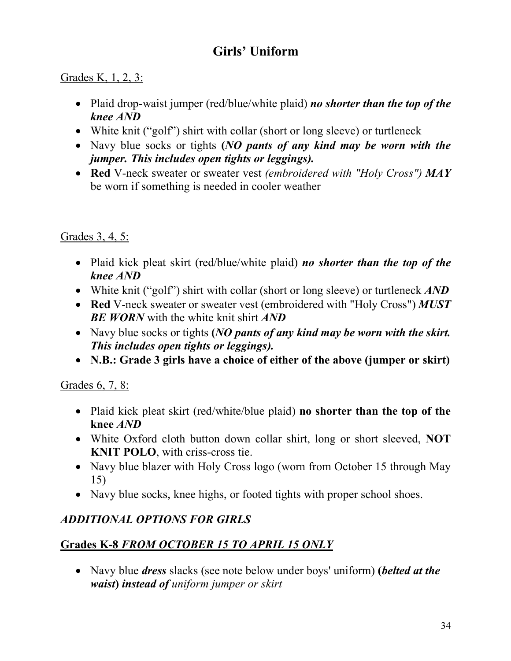# **Girls' Uniform**

#### Grades K, 1, 2, 3:

- Plaid drop-waist jumper (red/blue/white plaid) *no shorter than the top of the knee AND*
- White knit ("golf") shirt with collar (short or long sleeve) or turtleneck
- Navy blue socks or tights **(***NO pants of any kind may be worn with the jumper. This includes open tights or leggings).*
- **Red** V-neck sweater or sweater vest *(embroidered with "Holy Cross") MAY*  be worn if something is needed in cooler weather

#### Grades 3, 4, 5:

- Plaid kick pleat skirt (red/blue/white plaid) *no shorter than the top of the knee AND*
- White knit ("golf") shirt with collar (short or long sleeve) or turtleneck *AND*
- **Red** V-neck sweater or sweater vest (embroidered with "Holy Cross") *MUST BE WORN* with the white knit shirt *AND*
- Navy blue socks or tights **(***NO pants of any kind may be worn with the skirt. This includes open tights or leggings).*
- **N.B.: Grade 3 girls have a choice of either of the above (jumper or skirt)**

#### Grades 6, 7, 8:

- Plaid kick pleat skirt (red/white/blue plaid) **no shorter than the top of the knee** *AND*
- White Oxford cloth button down collar shirt, long or short sleeved, **NOT KNIT POLO**, with criss-cross tie.
- Navy blue blazer with Holy Cross logo (worn from October 15 through May 15)
- Navy blue socks, knee highs, or footed tights with proper school shoes.

#### *ADDITIONAL OPTIONS FOR GIRLS*

#### **Grades K-8** *FROM OCTOBER 15 TO APRIL 15 ONLY*

• Navy blue *dress* slacks (see note below under boys' uniform) **(***belted at the waist***)** *instead of uniform jumper or skirt*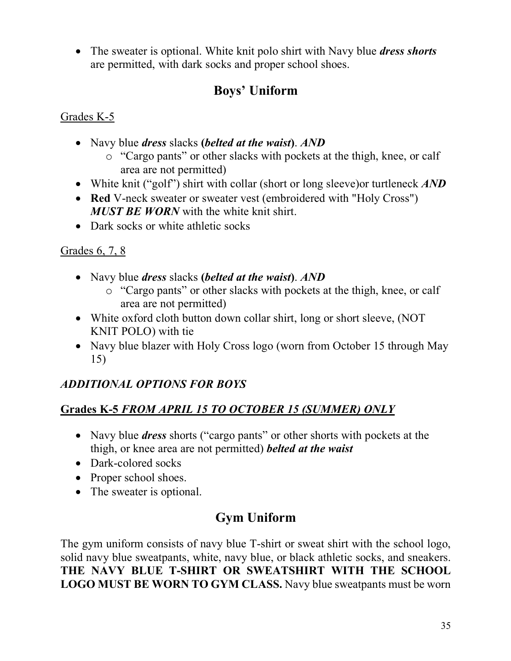• The sweater is optional. White knit polo shirt with Navy blue *dress shorts*  are permitted, with dark socks and proper school shoes.

# **Boys' Uniform**

#### Grades K-5

- Navy blue *dress* slacks **(***belted at the waist***)**. *AND*
	- o "Cargo pants" or other slacks with pockets at the thigh, knee, or calf area are not permitted)
- White knit ("golf") shirt with collar (short or long sleeve)or turtleneck *AND*
- **Red V-neck sweater or sweater vest (embroidered with "Holy Cross")** *MUST BE WORN* with the white knit shirt.
- Dark socks or white athletic socks

#### Grades 6, 7, 8

- Navy blue *dress* slacks **(***belted at the waist***)**. *AND*
	- o "Cargo pants" or other slacks with pockets at the thigh, knee, or calf area are not permitted)
- White oxford cloth button down collar shirt, long or short sleeve, (NOT KNIT POLO) with tie
- Navy blue blazer with Holy Cross logo (worn from October 15 through May 15)

### *ADDITIONAL OPTIONS FOR BOYS*

#### **Grades K-5** *FROM APRIL 15 TO OCTOBER 15 (SUMMER) ONLY*

- Navy blue *dress* shorts ("cargo pants" or other shorts with pockets at the thigh, or knee area are not permitted) *belted at the waist*
- Dark-colored socks
- Proper school shoes.
- The sweater is optional.

# **Gym Uniform**

The gym uniform consists of navy blue T-shirt or sweat shirt with the school logo, solid navy blue sweatpants, white, navy blue, or black athletic socks, and sneakers. **THE NAVY BLUE T-SHIRT OR SWEATSHIRT WITH THE SCHOOL LOGO MUST BE WORN TO GYM CLASS.** Navy blue sweatpants must be worn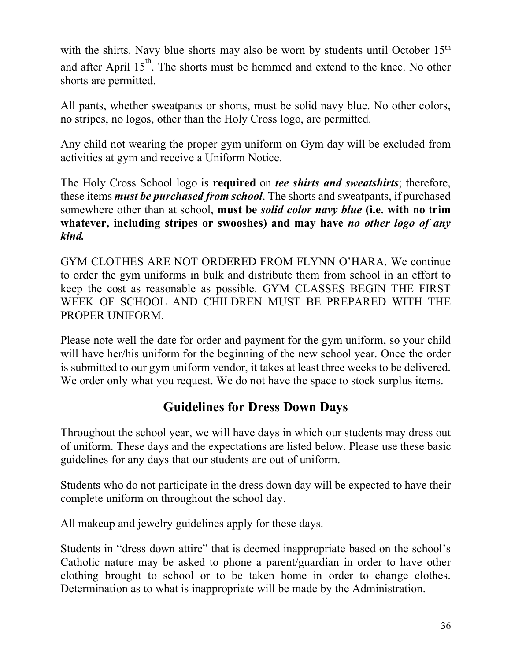with the shirts. Navy blue shorts may also be worn by students until October 15<sup>th</sup> and after April  $15<sup>th</sup>$ . The shorts must be hemmed and extend to the knee. No other shorts are permitted.

All pants, whether sweatpants or shorts, must be solid navy blue. No other colors, no stripes, no logos, other than the Holy Cross logo, are permitted.

Any child not wearing the proper gym uniform on Gym day will be excluded from activities at gym and receive a Uniform Notice.

The Holy Cross School logo is **required** on *tee shirts and sweatshirts*; therefore, these items *must be purchased from school*. The shorts and sweatpants, if purchased somewhere other than at school, **must be** *solid color navy blue* **(i.e. with no trim whatever, including stripes or swooshes) and may have** *no other logo of any kind.* 

GYM CLOTHES ARE NOT ORDERED FROM FLYNN O'HARA. We continue to order the gym uniforms in bulk and distribute them from school in an effort to keep the cost as reasonable as possible. GYM CLASSES BEGIN THE FIRST WEEK OF SCHOOL AND CHILDREN MUST BE PREPARED WITH THE PROPER UNIFORM.

Please note well the date for order and payment for the gym uniform, so your child will have her/his uniform for the beginning of the new school year. Once the order is submitted to our gym uniform vendor, it takes at least three weeks to be delivered. We order only what you request. We do not have the space to stock surplus items.

# **Guidelines for Dress Down Days**

Throughout the school year, we will have days in which our students may dress out of uniform. These days and the expectations are listed below. Please use these basic guidelines for any days that our students are out of uniform.

Students who do not participate in the dress down day will be expected to have their complete uniform on throughout the school day.

All makeup and jewelry guidelines apply for these days.

Students in "dress down attire" that is deemed inappropriate based on the school's Catholic nature may be asked to phone a parent/guardian in order to have other clothing brought to school or to be taken home in order to change clothes. Determination as to what is inappropriate will be made by the Administration.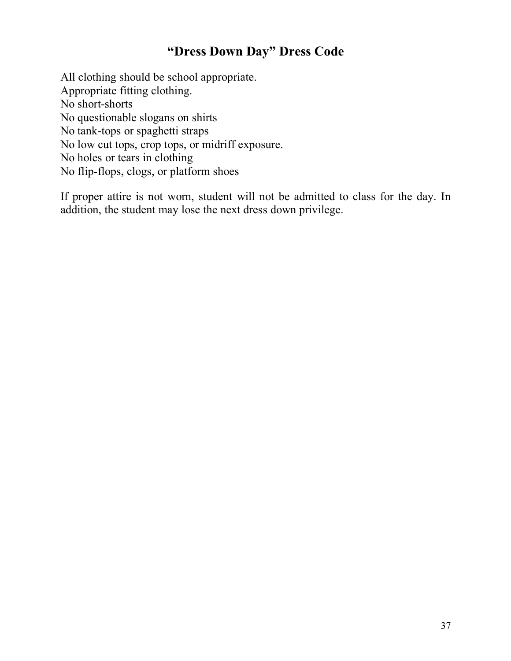# **"Dress Down Day" Dress Code**

All clothing should be school appropriate. Appropriate fitting clothing. No short-shorts No questionable slogans on shirts No tank-tops or spaghetti straps No low cut tops, crop tops, or midriff exposure. No holes or tears in clothing No flip-flops, clogs, or platform shoes

If proper attire is not worn, student will not be admitted to class for the day. In addition, the student may lose the next dress down privilege.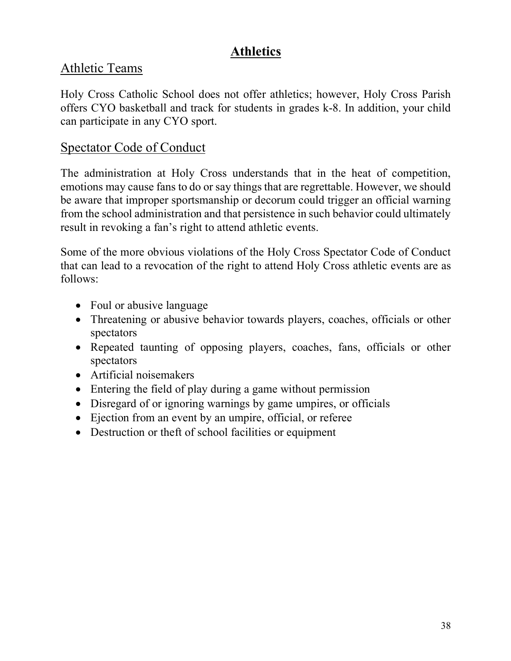# **Athletics**

# Athletic Teams

Holy Cross Catholic School does not offer athletics; however, Holy Cross Parish offers CYO basketball and track for students in grades k-8. In addition, your child can participate in any CYO sport.

#### Spectator Code of Conduct

The administration at Holy Cross understands that in the heat of competition, emotions may cause fans to do or say things that are regrettable. However, we should be aware that improper sportsmanship or decorum could trigger an official warning from the school administration and that persistence in such behavior could ultimately result in revoking a fan's right to attend athletic events.

Some of the more obvious violations of the Holy Cross Spectator Code of Conduct that can lead to a revocation of the right to attend Holy Cross athletic events are as follows:

- Foul or abusive language
- Threatening or abusive behavior towards players, coaches, officials or other spectators
- Repeated taunting of opposing players, coaches, fans, officials or other spectators
- Artificial noisemakers
- Entering the field of play during a game without permission
- Disregard of or ignoring warnings by game umpires, or officials
- Ejection from an event by an umpire, official, or referee
- Destruction or theft of school facilities or equipment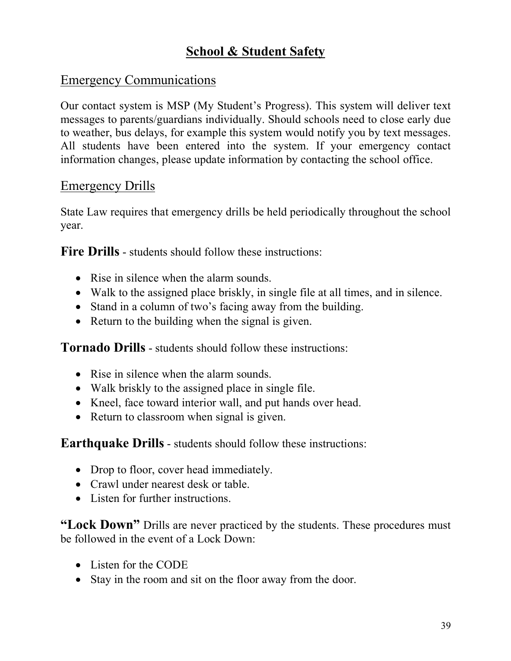# **School & Student Safety**

### Emergency Communications

Our contact system is MSP (My Student's Progress). This system will deliver text messages to parents/guardians individually. Should schools need to close early due to weather, bus delays, for example this system would notify you by text messages. All students have been entered into the system. If your emergency contact information changes, please update information by contacting the school office.

### Emergency Drills

State Law requires that emergency drills be held periodically throughout the school year.

**Fire Drills** - students should follow these instructions:

- Rise in silence when the alarm sounds.
- Walk to the assigned place briskly, in single file at all times, and in silence.
- Stand in a column of two's facing away from the building.
- Return to the building when the signal is given.

**Tornado Drills** - students should follow these instructions:

- Rise in silence when the alarm sounds.
- Walk briskly to the assigned place in single file.
- Kneel, face toward interior wall, and put hands over head.
- Return to classroom when signal is given.

**Earthquake Drills** - students should follow these instructions:

- Drop to floor, cover head immediately.
- Crawl under nearest desk or table.
- Listen for further instructions.

**"Lock Down"** Drills are never practiced by the students. These procedures must be followed in the event of a Lock Down:

- Listen for the CODE
- Stay in the room and sit on the floor away from the door.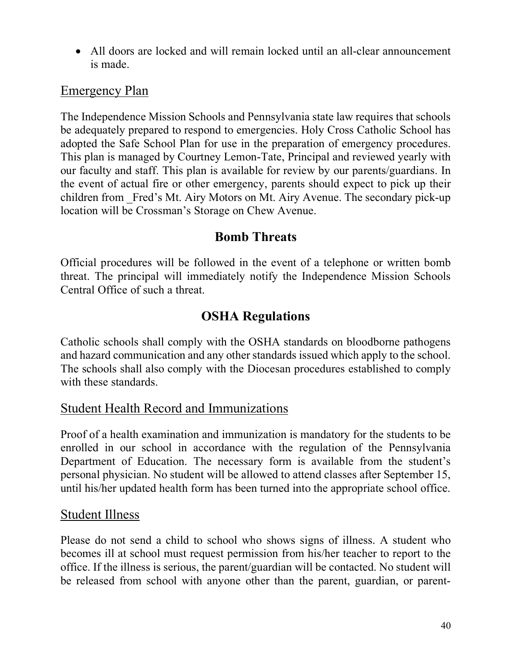• All doors are locked and will remain locked until an all-clear announcement is made.

## Emergency Plan

The Independence Mission Schools and Pennsylvania state law requires that schools be adequately prepared to respond to emergencies. Holy Cross Catholic School has adopted the Safe School Plan for use in the preparation of emergency procedures. This plan is managed by Courtney Lemon-Tate, Principal and reviewed yearly with our faculty and staff. This plan is available for review by our parents/guardians. In the event of actual fire or other emergency, parents should expect to pick up their children from \_Fred's Mt. Airy Motors on Mt. Airy Avenue. The secondary pick-up location will be Crossman's Storage on Chew Avenue.

## **Bomb Threats**

Official procedures will be followed in the event of a telephone or written bomb threat. The principal will immediately notify the Independence Mission Schools Central Office of such a threat.

# **OSHA Regulations**

Catholic schools shall comply with the OSHA standards on bloodborne pathogens and hazard communication and any other standards issued which apply to the school. The schools shall also comply with the Diocesan procedures established to comply with these standards.

### Student Health Record and Immunizations

Proof of a health examination and immunization is mandatory for the students to be enrolled in our school in accordance with the regulation of the Pennsylvania Department of Education. The necessary form is available from the student's personal physician. No student will be allowed to attend classes after September 15, until his/her updated health form has been turned into the appropriate school office.

#### Student Illness

Please do not send a child to school who shows signs of illness. A student who becomes ill at school must request permission from his/her teacher to report to the office. If the illness is serious, the parent/guardian will be contacted. No student will be released from school with anyone other than the parent, guardian, or parent-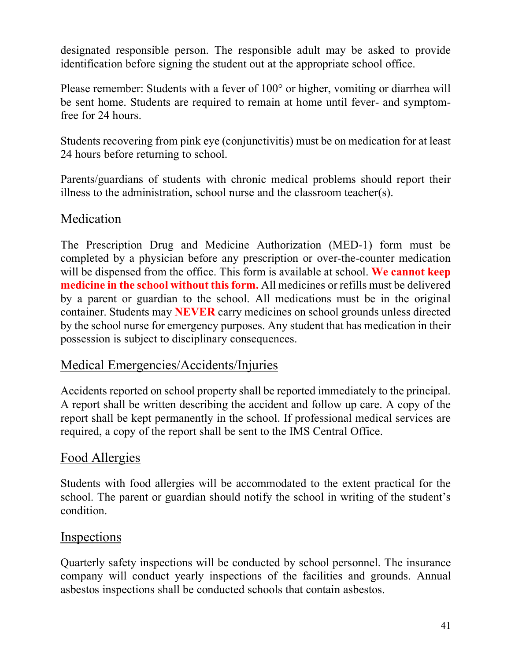designated responsible person. The responsible adult may be asked to provide identification before signing the student out at the appropriate school office.

Please remember: Students with a fever of 100° or higher, vomiting or diarrhea will be sent home. Students are required to remain at home until fever- and symptomfree for 24 hours.

Students recovering from pink eye (conjunctivitis) must be on medication for at least 24 hours before returning to school.

Parents/guardians of students with chronic medical problems should report their illness to the administration, school nurse and the classroom teacher(s).

#### Medication

The Prescription Drug and Medicine Authorization (MED-1) form must be completed by a physician before any prescription or over-the-counter medication will be dispensed from the office. This form is available at school. **We cannot keep medicine in the school without this form.** All medicines or refills must be delivered by a parent or guardian to the school. All medications must be in the original container. Students may **NEVER** carry medicines on school grounds unless directed by the school nurse for emergency purposes. Any student that has medication in their possession is subject to disciplinary consequences.

#### Medical Emergencies/Accidents/Injuries

Accidents reported on school property shall be reported immediately to the principal. A report shall be written describing the accident and follow up care. A copy of the report shall be kept permanently in the school. If professional medical services are required, a copy of the report shall be sent to the IMS Central Office.

### Food Allergies

Students with food allergies will be accommodated to the extent practical for the school. The parent or guardian should notify the school in writing of the student's condition.

#### Inspections

Quarterly safety inspections will be conducted by school personnel. The insurance company will conduct yearly inspections of the facilities and grounds. Annual asbestos inspections shall be conducted schools that contain asbestos.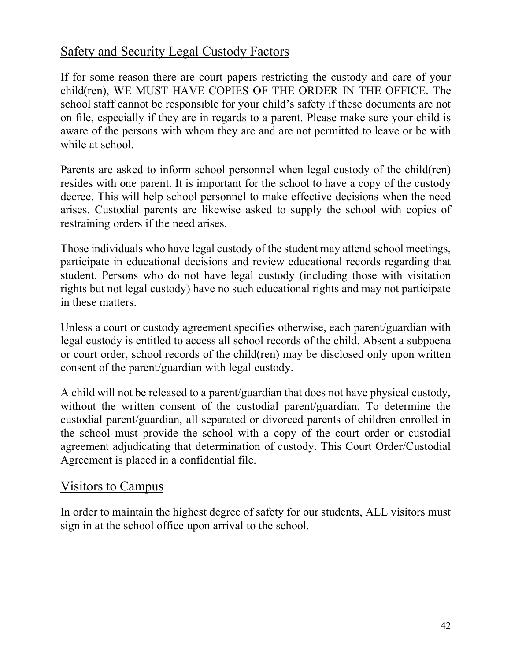### Safety and Security Legal Custody Factors

If for some reason there are court papers restricting the custody and care of your child(ren), WE MUST HAVE COPIES OF THE ORDER IN THE OFFICE. The school staff cannot be responsible for your child's safety if these documents are not on file, especially if they are in regards to a parent. Please make sure your child is aware of the persons with whom they are and are not permitted to leave or be with while at school.

Parents are asked to inform school personnel when legal custody of the child(ren) resides with one parent. It is important for the school to have a copy of the custody decree. This will help school personnel to make effective decisions when the need arises. Custodial parents are likewise asked to supply the school with copies of restraining orders if the need arises.

Those individuals who have legal custody of the student may attend school meetings, participate in educational decisions and review educational records regarding that student. Persons who do not have legal custody (including those with visitation rights but not legal custody) have no such educational rights and may not participate in these matters.

Unless a court or custody agreement specifies otherwise, each parent/guardian with legal custody is entitled to access all school records of the child. Absent a subpoena or court order, school records of the child(ren) may be disclosed only upon written consent of the parent/guardian with legal custody.

A child will not be released to a parent/guardian that does not have physical custody, without the written consent of the custodial parent/guardian. To determine the custodial parent/guardian, all separated or divorced parents of children enrolled in the school must provide the school with a copy of the court order or custodial agreement adjudicating that determination of custody. This Court Order/Custodial Agreement is placed in a confidential file.

#### Visitors to Campus

In order to maintain the highest degree of safety for our students, ALL visitors must sign in at the school office upon arrival to the school.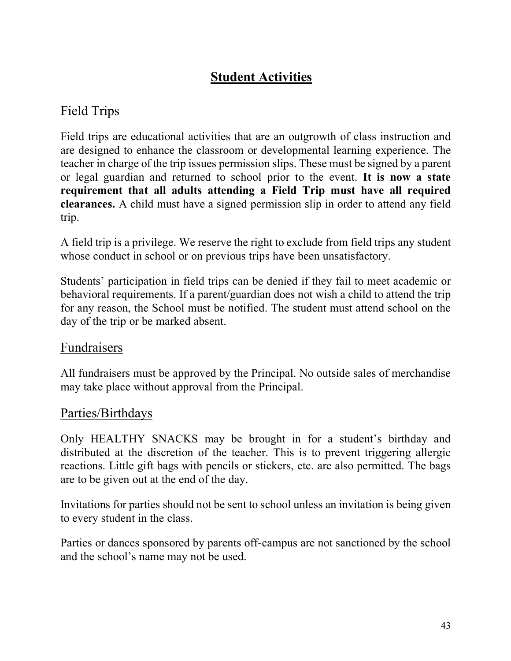# **Student Activities**

# Field Trips

Field trips are educational activities that are an outgrowth of class instruction and are designed to enhance the classroom or developmental learning experience. The teacher in charge of the trip issues permission slips. These must be signed by a parent or legal guardian and returned to school prior to the event. **It is now a state requirement that all adults attending a Field Trip must have all required clearances.** A child must have a signed permission slip in order to attend any field trip.

A field trip is a privilege. We reserve the right to exclude from field trips any student whose conduct in school or on previous trips have been unsatisfactory.

Students' participation in field trips can be denied if they fail to meet academic or behavioral requirements. If a parent/guardian does not wish a child to attend the trip for any reason, the School must be notified. The student must attend school on the day of the trip or be marked absent.

#### Fundraisers

All fundraisers must be approved by the Principal. No outside sales of merchandise may take place without approval from the Principal.

#### Parties/Birthdays

Only HEALTHY SNACKS may be brought in for a student's birthday and distributed at the discretion of the teacher. This is to prevent triggering allergic reactions. Little gift bags with pencils or stickers, etc. are also permitted. The bags are to be given out at the end of the day.

Invitations for parties should not be sent to school unless an invitation is being given to every student in the class.

Parties or dances sponsored by parents off-campus are not sanctioned by the school and the school's name may not be used.